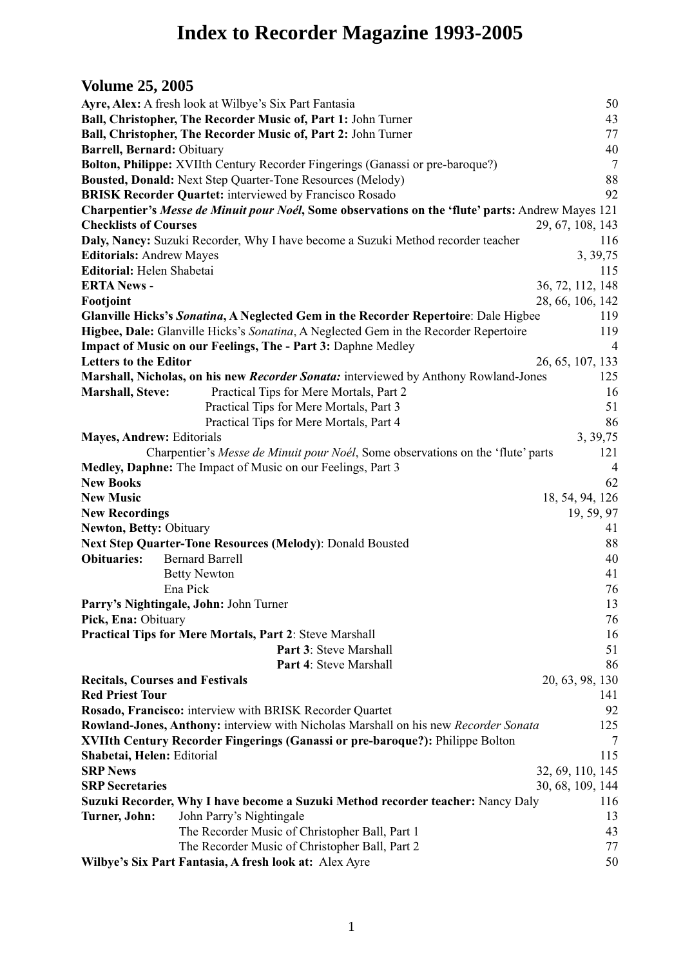# **Index to Recorder Magazine 1993-2005**

# **Volume 25, 2005**

|                                        | Ayre, Alex: A fresh look at Wilbye's Six Part Fantasia                                                   |                  |
|----------------------------------------|----------------------------------------------------------------------------------------------------------|------------------|
|                                        |                                                                                                          | 50               |
|                                        | Ball, Christopher, The Recorder Music of, Part 1: John Turner                                            | 43               |
|                                        | Ball, Christopher, The Recorder Music of, Part 2: John Turner                                            | 77               |
| Barrell, Bernard: Obituary             |                                                                                                          | 40               |
|                                        | Bolton, Philippe: XVIIth Century Recorder Fingerings (Ganassi or pre-baroque?)                           | $\overline{7}$   |
|                                        | <b>Bousted, Donald: Next Step Quarter-Tone Resources (Melody)</b>                                        | 88               |
|                                        | <b>BRISK Recorder Quartet: interviewed by Francisco Rosado</b>                                           | 92               |
|                                        | Charpentier's Messe de Minuit pour Noél, Some observations on the 'flute' parts: Andrew Mayes 121        |                  |
| <b>Checklists of Courses</b>           |                                                                                                          | 29, 67, 108, 143 |
|                                        | Daly, Nancy: Suzuki Recorder, Why I have become a Suzuki Method recorder teacher                         | 116              |
| <b>Editorials: Andrew Mayes</b>        |                                                                                                          | 3, 39, 75        |
| Editorial: Helen Shabetai              |                                                                                                          | 115              |
| <b>ERTA News -</b>                     |                                                                                                          | 36, 72, 112, 148 |
| Footjoint                              |                                                                                                          | 28, 66, 106, 142 |
|                                        | <b>Glanville Hicks's Sonatina, A Neglected Gem in the Recorder Repertoire:</b> Dale Higbee               | 119              |
|                                        | Higbee, Dale: Glanville Hicks's Sonatina, A Neglected Gem in the Recorder Repertoire                     | 119              |
|                                        | Impact of Music on our Feelings, The - Part 3: Daphne Medley                                             | $\overline{4}$   |
| <b>Letters to the Editor</b>           |                                                                                                          | 26, 65, 107, 133 |
|                                        | Marshall, Nicholas, on his new Recorder Sonata: interviewed by Anthony Rowland-Jones                     | 125              |
| <b>Marshall</b> , Steve:               | Practical Tips for Mere Mortals, Part 2                                                                  | 16               |
|                                        | Practical Tips for Mere Mortals, Part 3                                                                  | 51               |
|                                        | Practical Tips for Mere Mortals, Part 4                                                                  | 86               |
| <b>Mayes, Andrew: Editorials</b>       |                                                                                                          | 3, 39, 75        |
|                                        | Charpentier's Messe de Minuit pour Noél, Some observations on the 'flute' parts                          | 121              |
|                                        | Medley, Daphne: The Impact of Music on our Feelings, Part 3                                              | $\overline{4}$   |
| <b>New Books</b>                       |                                                                                                          | 62               |
| <b>New Music</b>                       |                                                                                                          | 18, 54, 94, 126  |
| <b>New Recordings</b>                  |                                                                                                          | 19, 59, 97       |
| <b>Newton, Betty: Obituary</b>         |                                                                                                          | 41               |
|                                        |                                                                                                          |                  |
|                                        |                                                                                                          |                  |
|                                        | Next Step Quarter-Tone Resources (Melody): Donald Bousted                                                | 88               |
| <b>Obituaries:</b>                     | <b>Bernard Barrell</b>                                                                                   | 40               |
|                                        | <b>Betty Newton</b>                                                                                      | 41               |
|                                        | Ena Pick                                                                                                 | 76               |
|                                        | Parry's Nightingale, John: John Turner                                                                   | 13               |
| Pick, Ena: Obituary                    |                                                                                                          | 76               |
|                                        | Practical Tips for Mere Mortals, Part 2: Steve Marshall                                                  | 16               |
|                                        | Part 3: Steve Marshall                                                                                   | 51               |
|                                        | Part 4: Steve Marshall                                                                                   | 86               |
| <b>Recitals, Courses and Festivals</b> |                                                                                                          | 20, 63, 98, 130  |
| <b>Red Priest Tour</b>                 |                                                                                                          | 141              |
|                                        | Rosado, Francisco: interview with BRISK Recorder Quartet                                                 | 92               |
|                                        | Rowland-Jones, Anthony: interview with Nicholas Marshall on his new Recorder Sonata                      | 125              |
|                                        | XVIIth Century Recorder Fingerings (Ganassi or pre-baroque?): Philippe Bolton                            | 7                |
| Shabetai, Helen: Editorial             |                                                                                                          | 115              |
| <b>SRP News</b>                        |                                                                                                          | 32, 69, 110, 145 |
| <b>SRP</b> Secretaries                 |                                                                                                          | 30, 68, 109, 144 |
|                                        | Suzuki Recorder, Why I have become a Suzuki Method recorder teacher: Nancy Daly                          | 116              |
| <b>Turner, John:</b>                   | John Parry's Nightingale                                                                                 | 13               |
|                                        | The Recorder Music of Christopher Ball, Part 1                                                           | 43               |
|                                        | The Recorder Music of Christopher Ball, Part 2<br>Wilbye's Six Part Fantasia, A fresh look at: Alex Ayre | 77<br>50         |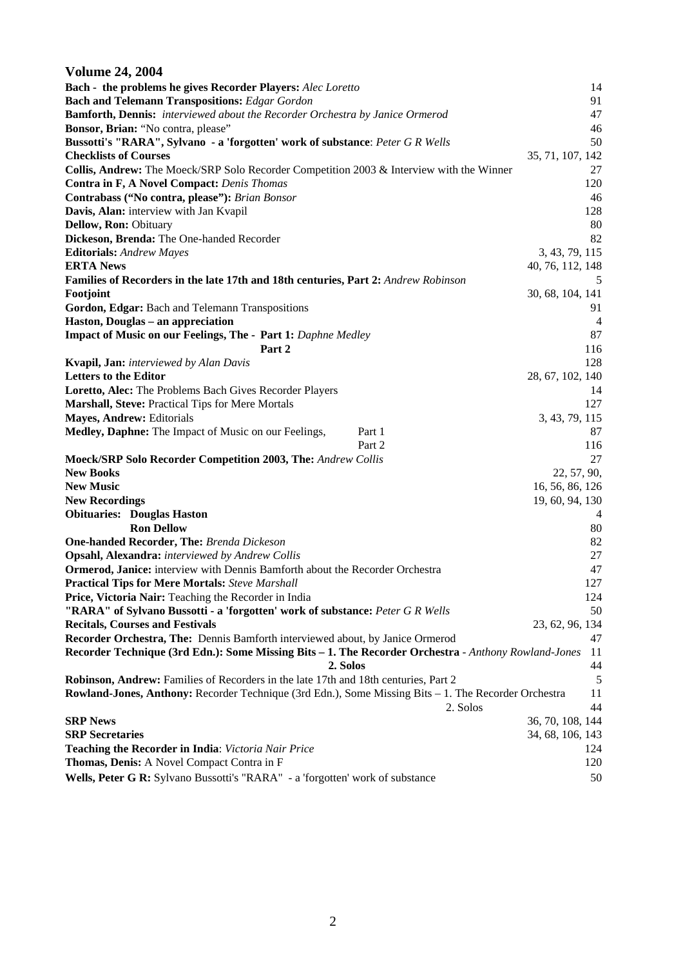#### **Volume 24, 2004 Bach - the problems he gives Recorder Players:** *Alec Loretto* 14 **Bach and Telemann Transpositions:** *Edgar Gordon* 91 **Bamforth, Dennis:** *interviewed about the Recorder Orchestra by Janice Ormerod* 47 **Bonsor, Brian:** "No contra, please" 46 **Bussotti's "RARA", Sylvano - a 'forgotten' work of substance**: *Peter G R Wells* 50 **Checklists of Courses** 35, 71, 107, 142 **Collis, Andrew:** The Moeck/SRP Solo Recorder Competition 2003 & Interview with the Winner 27 **Contra in F, A Novel Compact:** *Denis Thomas* 120 **Contrabass ("No contra, please"):** *Brian Bonsor* 46 **Davis, Alan:** interview with Jan Kvapil 128 **Dellow, Ron:** Obituary 80 **Dickeson, Brenda:** The One-handed Recorder 82 **Editorials:** *Andrew Mayes* 3, 43, 79, 115 **ERTA News** 40, 76, 112, 148 **Families of Recorders in the late 17th and 18th centuries, Part 2:** *Andrew Robinson* 5 **Footjoint** 30, 68, 104, 141 **Gordon, Edgar:** Bach and Telemann Transpositions 91 **Haston, Douglas – an appreciation** 4 **Impact of Music on our Feelings, The - Part 1:** *Daphne Medley* 87 **Part 2** 116 **Kvapil, Jan:** *interviewed by Alan Davis* 128 **Letters to the Editor** 28, 67, 102, 140 **Loretto, Alec:** The Problems Bach Gives Recorder Players 14 **Marshall, Steve:** Practical Tips for Mere Mortals 127 **Mayes, Andrew:** Editorials 3, 43, 79, 115 **Medley, Daphne:** The Impact of Music on our Feelings, Part 1 87 Part 2 116 **Moeck/SRP Solo Recorder Competition 2003, The:** *Andrew Collis* 27 **New Books** 22, 57, 90, **New Music** 16, 56, 86, 126 **New Recordings** 19, 60, 94, 130 **Obituaries:** Douglas Haston 4 **Ron Dellow** 80 **One-handed Recorder, The:** *Brenda Dickeson* 82 **Opsahl, Alexandra:** *interviewed by Andrew Collis* 27 **Ormerod, Janice:** interview with Dennis Bamforth about the Recorder Orchestra 47 **Practical Tips for Mere Mortals:** *Steve Marshall* 127 **Price, Victoria Nair:** Teaching the Recorder in India 124 **"RARA" of Sylvano Bussotti - a 'forgotten' work of substance:** *Peter G R Wells* 50 **Recitals, Courses and Festivals** 23, 62, 96, 134 **Recorder Orchestra, The:** Dennis Bamforth interviewed about, by Janice Ormerod 47 **Recorder Technique (3rd Edn.): Some Missing Bits – 1. The Recorder Orchestra** - *Anthony Rowland-Jones* 11  **2. Solos** 44 **Robinson, Andrew:** Families of Recorders in the late 17th and 18th centuries, Part 2 5 **Rowland-Jones, Anthony:** Recorder Technique (3rd Edn.), Some Missing Bits – 1. The Recorder Orchestra 11 2. Solos 44 **SRP News** 36, 70, 108, 144 **SRP Secretaries** 34, 68, 106, 143 **Teaching the Recorder in India**: *Victoria Nair Price* 124 **Thomas, Denis:** A Novel Compact Contra in F 120 **Wells, Peter G R:** Sylvano Bussotti's "RARA" - a 'forgotten' work of substance 50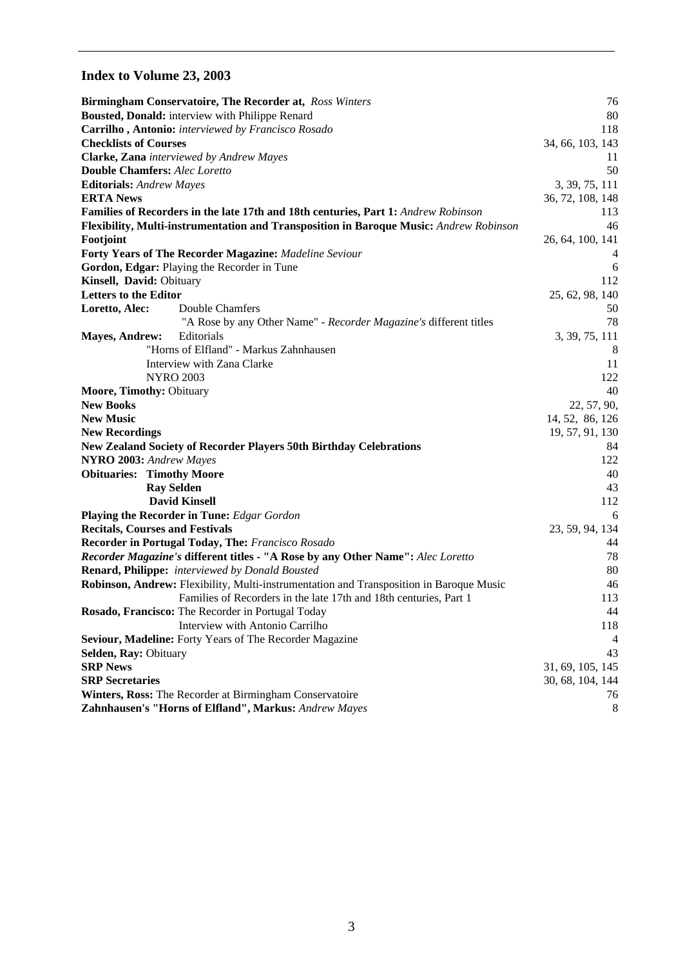# **Index to Volume 23, 2003**

|                                 | <b>Birmingham Conservatoire, The Recorder at, Ross Winters</b>                          | 76               |
|---------------------------------|-----------------------------------------------------------------------------------------|------------------|
|                                 | Bousted, Donald: interview with Philippe Renard                                         | 80               |
|                                 | Carrilho, Antonio: interviewed by Francisco Rosado                                      | 118              |
| <b>Checklists of Courses</b>    |                                                                                         | 34, 66, 103, 143 |
|                                 | Clarke, Zana interviewed by Andrew Mayes                                                | 11               |
|                                 | <b>Double Chamfers: Alec Loretto</b>                                                    | 50               |
| <b>Editorials:</b> Andrew Mayes |                                                                                         | 3, 39, 75, 111   |
| <b>ERTA News</b>                |                                                                                         | 36, 72, 108, 148 |
|                                 | Families of Recorders in the late 17th and 18th centuries, Part 1: Andrew Robinson      | 113              |
|                                 | Flexibility, Multi-instrumentation and Transposition in Baroque Music: Andrew Robinson  | 46               |
| Footjoint                       |                                                                                         | 26, 64, 100, 141 |
|                                 | <b>Forty Years of The Recorder Magazine: Madeline Seviour</b>                           | 4                |
|                                 | Gordon, Edgar: Playing the Recorder in Tune                                             | 6                |
| Kinsell, David: Obituary        |                                                                                         | 112              |
| <b>Letters to the Editor</b>    |                                                                                         | 25, 62, 98, 140  |
| Loretto, Alec:                  | Double Chamfers                                                                         | 50               |
|                                 | "A Rose by any Other Name" - Recorder Magazine's different titles                       | 78               |
| <b>Mayes, Andrew:</b>           | Editorials                                                                              | 3, 39, 75, 111   |
|                                 | "Horns of Elfland" - Markus Zahnhausen                                                  | 8                |
|                                 | Interview with Zana Clarke                                                              | 11               |
|                                 | <b>NYRO 2003</b>                                                                        | 122              |
| Moore, Timothy: Obituary        |                                                                                         | 40               |
| <b>New Books</b>                |                                                                                         | 22, 57, 90,      |
| <b>New Music</b>                |                                                                                         | 14, 52, 86, 126  |
| <b>New Recordings</b>           |                                                                                         | 19, 57, 91, 130  |
|                                 | <b>New Zealand Society of Recorder Players 50th Birthday Celebrations</b>               | 84               |
| NYRO 2003: Andrew Mayes         |                                                                                         | 122              |
|                                 | <b>Obituaries: Timothy Moore</b>                                                        | 40               |
|                                 | <b>Ray Selden</b>                                                                       | 43               |
|                                 | <b>David Kinsell</b>                                                                    | 112              |
|                                 | <b>Playing the Recorder in Tune:</b> Edgar Gordon                                       | 6                |
|                                 | <b>Recitals, Courses and Festivals</b>                                                  | 23, 59, 94, 134  |
|                                 | Recorder in Portugal Today, The: Francisco Rosado                                       | 44               |
|                                 | Recorder Magazine's different titles - "A Rose by any Other Name": Alec Loretto         | 78               |
|                                 | <b>Renard, Philippe:</b> interviewed by Donald Bousted                                  | 80               |
|                                 | Robinson, Andrew: Flexibility, Multi-instrumentation and Transposition in Baroque Music | 46               |
|                                 | Families of Recorders in the late 17th and 18th centuries, Part 1                       | 113              |
|                                 | Rosado, Francisco: The Recorder in Portugal Today                                       | 44               |
|                                 | Interview with Antonio Carrilho                                                         | 118              |
|                                 | Seviour, Madeline: Forty Years of The Recorder Magazine                                 | 4                |
| Selden, Ray: Obituary           |                                                                                         | 43               |
| <b>SRP News</b>                 |                                                                                         | 31, 69, 105, 145 |
| <b>SRP</b> Secretaries          |                                                                                         | 30, 68, 104, 144 |
|                                 | Winters, Ross: The Recorder at Birmingham Conservatoire                                 | 76               |
|                                 | Zahnhausen's "Horns of Elfland", Markus: Andrew Mayes                                   | 8                |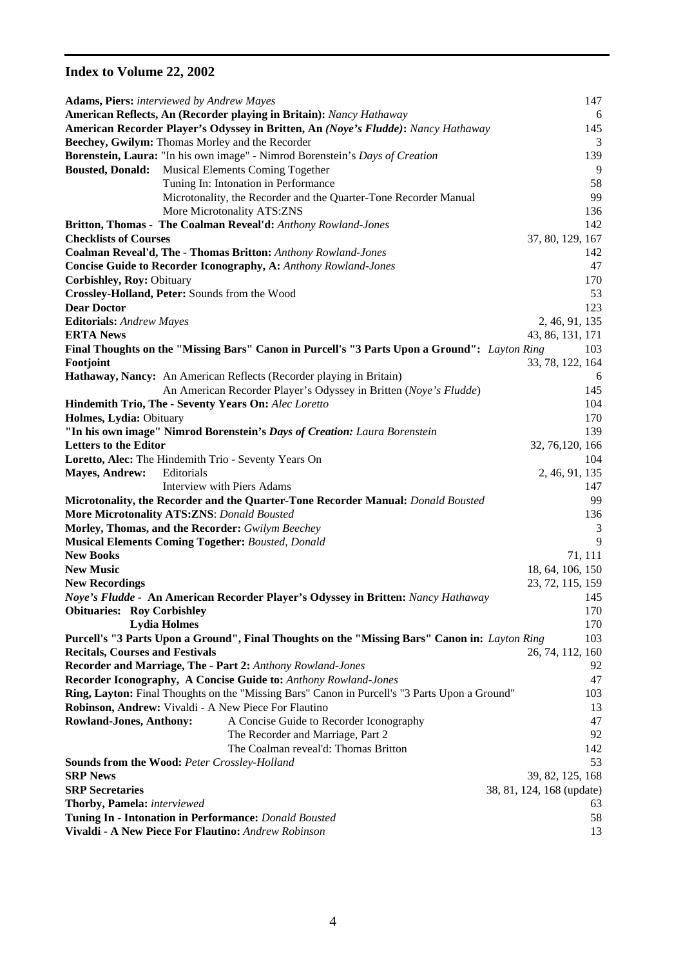# **Index to Volume 22, 2002**

|                                        | <b>Adams, Piers:</b> interviewed by Andrew Mayes                                              | 147                       |
|----------------------------------------|-----------------------------------------------------------------------------------------------|---------------------------|
|                                        | American Reflects, An (Recorder playing in Britain): Nancy Hathaway                           | 6                         |
|                                        | American Recorder Player's Odyssey in Britten, An (Noye's Fludde): Nancy Hathaway             | 145                       |
|                                        | Beechey, Gwilym: Thomas Morley and the Recorder                                               | 3                         |
|                                        | Borenstein, Laura: "In his own image" - Nimrod Borenstein's Days of Creation                  | 139                       |
| <b>Bousted, Donald:</b>                | Musical Elements Coming Together                                                              | 9                         |
|                                        | Tuning In: Intonation in Performance                                                          | 58                        |
|                                        | Microtonality, the Recorder and the Quarter-Tone Recorder Manual                              | 99                        |
|                                        | More Microtonality ATS:ZNS                                                                    | 136                       |
|                                        | Britton, Thomas - The Coalman Reveal'd: Anthony Rowland-Jones                                 | 142                       |
| <b>Checklists of Courses</b>           |                                                                                               | 37, 80, 129, 167          |
|                                        | Coalman Reveal'd, The - Thomas Britton: Anthony Rowland-Jones                                 | 142                       |
|                                        |                                                                                               | 47                        |
|                                        | <b>Concise Guide to Recorder Iconography, A: Anthony Rowland-Jones</b>                        |                           |
| Corbishley, Roy: Obituary              |                                                                                               | 170                       |
|                                        | Crossley-Holland, Peter: Sounds from the Wood                                                 | 53                        |
| <b>Dear Doctor</b>                     |                                                                                               | 123                       |
| <b>Editorials:</b> Andrew Mayes        |                                                                                               | 2, 46, 91, 135            |
| <b>ERTA News</b>                       |                                                                                               | 43, 86, 131, 171          |
|                                        | Final Thoughts on the "Missing Bars" Canon in Purcell's "3 Parts Upon a Ground": Layton Ring  | 103                       |
| Footjoint                              |                                                                                               | 33, 78, 122, 164          |
|                                        | Hathaway, Nancy: An American Reflects (Recorder playing in Britain)                           | 6                         |
|                                        | An American Recorder Player's Odyssey in Britten (Noye's Fludde)                              | 145                       |
|                                        | Hindemith Trio, The - Seventy Years On: Alec Loretto                                          | 104                       |
| Holmes, Lydia: Obituary                |                                                                                               | 170                       |
|                                        | "In his own image" Nimrod Borenstein's Days of Creation: Laura Borenstein                     | 139                       |
| <b>Letters to the Editor</b>           |                                                                                               | 32, 76, 120, 166          |
|                                        | Loretto, Alec: The Hindemith Trio - Seventy Years On                                          | 104                       |
| <b>Mayes, Andrew:</b>                  | Editorials                                                                                    | 2, 46, 91, 135            |
|                                        | Interview with Piers Adams                                                                    | 147                       |
|                                        | Microtonality, the Recorder and the Quarter-Tone Recorder Manual: Donald Bousted              | 99                        |
|                                        | <b>More Microtonality ATS:ZNS: Donald Bousted</b>                                             | 136                       |
|                                        | Morley, Thomas, and the Recorder: Gwilym Beechey                                              | 3                         |
|                                        | <b>Musical Elements Coming Together: Bousted, Donald</b>                                      | 9                         |
| <b>New Books</b>                       |                                                                                               | 71, 111                   |
| <b>New Music</b>                       |                                                                                               | 18, 64, 106, 150          |
| <b>New Recordings</b>                  |                                                                                               | 23, 72, 115, 159          |
|                                        | Noye's Fludde - An American Recorder Player's Odyssey in Britten: Nancy Hathaway              | 145                       |
| <b>Obituaries: Roy Corbishley</b>      |                                                                                               | 170                       |
|                                        | <b>Lydia Holmes</b>                                                                           | 170                       |
|                                        | Purcell's "3 Parts Upon a Ground", Final Thoughts on the "Missing Bars" Canon in: Layton Ring | 103                       |
| <b>Recitals, Courses and Festivals</b> |                                                                                               | 26, 74, 112, 160          |
|                                        | <b>Recorder and Marriage, The - Part 2: Anthony Rowland-Jones</b>                             | 92                        |
|                                        | Recorder Iconography, A Concise Guide to: Anthony Rowland-Jones                               | 47                        |
|                                        | Ring, Layton: Final Thoughts on the "Missing Bars" Canon in Purcell's "3 Parts Upon a Ground" | 103                       |
|                                        | Robinson, Andrew: Vivaldi - A New Piece For Flautino                                          | 13                        |
| <b>Rowland-Jones, Anthony:</b>         | A Concise Guide to Recorder Iconography                                                       | 47                        |
|                                        | The Recorder and Marriage, Part 2                                                             | 92                        |
|                                        | The Coalman reveal'd: Thomas Britton                                                          | 142                       |
|                                        | <b>Sounds from the Wood: Peter Crossley-Holland</b>                                           | 53                        |
| <b>SRP News</b>                        |                                                                                               | 39, 82, 125, 168          |
| <b>SRP</b> Secretaries                 |                                                                                               | 38, 81, 124, 168 (update) |
|                                        |                                                                                               |                           |
| Thorby, Pamela: interviewed            |                                                                                               | 63                        |
|                                        | Tuning In - Intonation in Performance: Donald Bousted                                         | 58                        |
|                                        | Vivaldi - A New Piece For Flautino: Andrew Robinson                                           | 13                        |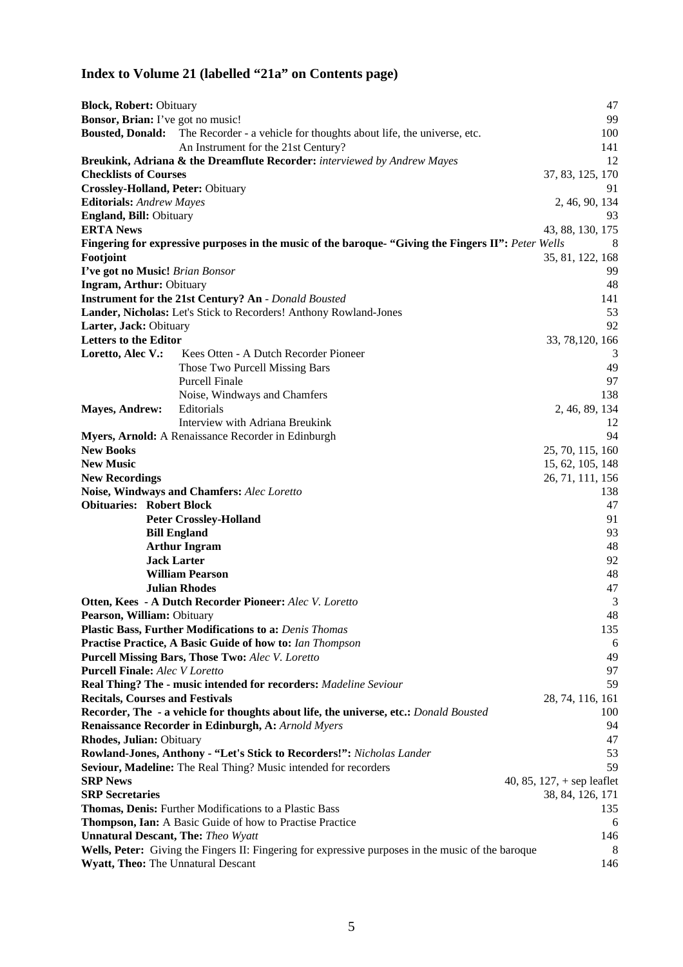# **Index to Volume 21 (labelled "21a" on Contents page)**

| <b>Block, Robert: Obituary</b>            |                                                                                                                    | 47                           |  |
|-------------------------------------------|--------------------------------------------------------------------------------------------------------------------|------------------------------|--|
| Bonsor, Brian: I've got no music!         |                                                                                                                    | 99                           |  |
| <b>Bousted, Donald:</b>                   | The Recorder - a vehicle for thoughts about life, the universe, etc.                                               | 100                          |  |
|                                           | An Instrument for the 21st Century?                                                                                | 141                          |  |
|                                           | Breukink, Adriana & the Dreamflute Recorder: interviewed by Andrew Mayes                                           | 12                           |  |
| <b>Checklists of Courses</b>              |                                                                                                                    | 37, 83, 125, 170             |  |
| <b>Crossley-Holland, Peter: Obituary</b>  |                                                                                                                    | 91                           |  |
| <b>Editorials:</b> Andrew Mayes           |                                                                                                                    | 2, 46, 90, 134               |  |
| England, Bill: Obituary                   |                                                                                                                    | 93                           |  |
| <b>ERTA News</b>                          |                                                                                                                    | 43, 88, 130, 175             |  |
|                                           | Fingering for expressive purposes in the music of the baroque- "Giving the Fingers II": Peter Wells                | 8                            |  |
| Footjoint                                 |                                                                                                                    | 35, 81, 122, 168             |  |
| I've got no Music! Brian Bonsor           |                                                                                                                    | 99                           |  |
| <b>Ingram, Arthur: Obituary</b>           |                                                                                                                    | 48                           |  |
|                                           | <b>Instrument for the 21st Century? An - Donald Bousted</b>                                                        | 141                          |  |
|                                           | Lander, Nicholas: Let's Stick to Recorders! Anthony Rowland-Jones                                                  | 53                           |  |
| Larter, Jack: Obituary                    |                                                                                                                    | 92                           |  |
| <b>Letters to the Editor</b>              |                                                                                                                    | 33, 78, 120, 166             |  |
| Loretto, Alec V.:                         | Kees Otten - A Dutch Recorder Pioneer                                                                              | 3                            |  |
|                                           | Those Two Purcell Missing Bars                                                                                     | 49                           |  |
|                                           | <b>Purcell Finale</b>                                                                                              | 97                           |  |
|                                           | Noise, Windways and Chamfers                                                                                       | 138                          |  |
| <b>Mayes, Andrew:</b>                     | Editorials                                                                                                         | 2, 46, 89, 134               |  |
|                                           | Interview with Adriana Breukink                                                                                    | 12                           |  |
|                                           | Myers, Arnold: A Renaissance Recorder in Edinburgh                                                                 | 94                           |  |
| <b>New Books</b>                          |                                                                                                                    | 25, 70, 115, 160             |  |
| <b>New Music</b>                          |                                                                                                                    | 15, 62, 105, 148             |  |
| <b>New Recordings</b>                     |                                                                                                                    | 26, 71, 111, 156             |  |
|                                           | Noise, Windways and Chamfers: Alec Loretto                                                                         | 138                          |  |
| <b>Obituaries: Robert Block</b>           |                                                                                                                    | 47                           |  |
|                                           | <b>Peter Crossley-Holland</b>                                                                                      | 91                           |  |
|                                           | <b>Bill England</b>                                                                                                | 93                           |  |
|                                           | <b>Arthur Ingram</b>                                                                                               | 48                           |  |
|                                           | <b>Jack Larter</b>                                                                                                 | 92                           |  |
|                                           | <b>William Pearson</b>                                                                                             | 48                           |  |
|                                           | <b>Julian Rhodes</b>                                                                                               | 47                           |  |
|                                           | Otten, Kees - A Dutch Recorder Pioneer: Alec V. Loretto                                                            | 3<br>48                      |  |
| Pearson, William: Obituary                |                                                                                                                    | 135                          |  |
|                                           | Plastic Bass, Further Modifications to a: Denis Thomas<br>Practise Practice, A Basic Guide of how to: Ian Thompson | 6                            |  |
|                                           | <b>Purcell Missing Bars, Those Two: Alec V. Loretto</b>                                                            | 49                           |  |
| <b>Purcell Finale:</b> Alec V Loretto     |                                                                                                                    | 97                           |  |
|                                           | Real Thing? The - music intended for recorders: Madeline Seviour                                                   | 59                           |  |
| <b>Recitals, Courses and Festivals</b>    |                                                                                                                    | 28, 74, 116, 161             |  |
|                                           | Recorder, The - a vehicle for thoughts about life, the universe, etc.: Donald Bousted                              | 100                          |  |
|                                           | Renaissance Recorder in Edinburgh, A: Arnold Myers                                                                 | 94                           |  |
| Rhodes, Julian: Obituary                  |                                                                                                                    | 47                           |  |
|                                           | Rowland-Jones, Anthony - "Let's Stick to Recorders!": Nicholas Lander                                              | 53                           |  |
|                                           | Seviour, Madeline: The Real Thing? Music intended for recorders                                                    | 59                           |  |
| <b>SRP News</b>                           |                                                                                                                    | 40, 85, 127, $+$ sep leaflet |  |
| <b>SRP</b> Secretaries                    |                                                                                                                    | 38, 84, 126, 171             |  |
|                                           | Thomas, Denis: Further Modifications to a Plastic Bass                                                             | 135                          |  |
|                                           | Thompson, Ian: A Basic Guide of how to Practise Practice                                                           | 6                            |  |
| <b>Unnatural Descant, The: Theo Wyatt</b> |                                                                                                                    |                              |  |
|                                           | 146<br>Wells, Peter: Giving the Fingers II: Fingering for expressive purposes in the music of the baroque<br>8     |                              |  |
|                                           | Wyatt, Theo: The Unnatural Descant<br>146                                                                          |                              |  |
|                                           |                                                                                                                    |                              |  |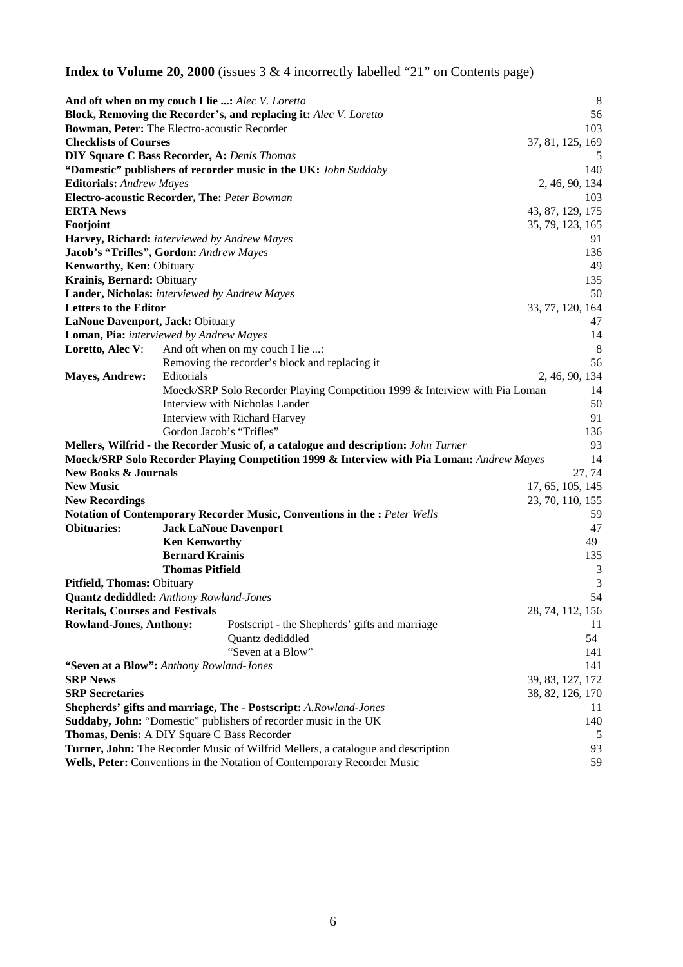**Index to Volume 20, 2000** (issues 3 & 4 incorrectly labelled "21" on Contents page)

|                                        | <b>And oft when on my couch I lie :</b> Alec V. Loretto                                   | 8                |  |
|----------------------------------------|-------------------------------------------------------------------------------------------|------------------|--|
|                                        | Block, Removing the Recorder's, and replacing it: Alec V. Loretto                         | 56               |  |
|                                        | Bowman, Peter: The Electro-acoustic Recorder                                              | 103              |  |
| <b>Checklists of Courses</b>           |                                                                                           | 37, 81, 125, 169 |  |
|                                        | <b>DIY Square C Bass Recorder, A: Denis Thomas</b>                                        | $\mathcal{L}$    |  |
|                                        | "Domestic" publishers of recorder music in the UK: John Suddaby                           | 140              |  |
| <b>Editorials:</b> Andrew Mayes        |                                                                                           | 2, 46, 90, 134   |  |
|                                        | Electro-acoustic Recorder, The: Peter Bowman                                              | 103              |  |
| <b>ERTA</b> News                       |                                                                                           | 43, 87, 129, 175 |  |
| Footjoint                              |                                                                                           | 35, 79, 123, 165 |  |
|                                        | Harvey, Richard: interviewed by Andrew Mayes                                              | 91               |  |
|                                        | Jacob's "Trifles", Gordon: Andrew Mayes                                                   | 136              |  |
| Kenworthy, Ken: Obituary               |                                                                                           | 49               |  |
| Krainis, Bernard: Obituary             |                                                                                           | 135              |  |
|                                        | Lander, Nicholas: interviewed by Andrew Mayes                                             | 50               |  |
| <b>Letters to the Editor</b>           |                                                                                           | 33, 77, 120, 164 |  |
| LaNoue Davenport, Jack: Obituary       |                                                                                           | 47               |  |
|                                        | Loman, Pia: interviewed by Andrew Mayes                                                   | 14               |  |
| Loretto, Alec V:                       | And oft when on my couch I lie :                                                          | 8                |  |
|                                        | Removing the recorder's block and replacing it                                            | 56               |  |
| <b>Mayes, Andrew:</b>                  | Editorials                                                                                | 2, 46, 90, 134   |  |
|                                        | Moeck/SRP Solo Recorder Playing Competition 1999 & Interview with Pia Loman               | 14               |  |
|                                        |                                                                                           |                  |  |
|                                        | Interview with Nicholas Lander                                                            | 50               |  |
|                                        | Interview with Richard Harvey                                                             | 91               |  |
|                                        | Gordon Jacob's "Trifles"                                                                  | 136              |  |
|                                        | Mellers, Wilfrid - the Recorder Music of, a catalogue and description: John Turner        | 93               |  |
|                                        | Moeck/SRP Solo Recorder Playing Competition 1999 & Interview with Pia Loman: Andrew Mayes | 14               |  |
| <b>New Books &amp; Journals</b>        |                                                                                           | 27, 74           |  |
| <b>New Music</b>                       |                                                                                           | 17, 65, 105, 145 |  |
| <b>New Recordings</b>                  |                                                                                           | 23, 70, 110, 155 |  |
|                                        | Notation of Contemporary Recorder Music, Conventions in the : Peter Wells                 | 59               |  |
| <b>Obituaries:</b>                     | <b>Jack LaNoue Davenport</b>                                                              | 47               |  |
|                                        | <b>Ken Kenworthy</b>                                                                      | 49               |  |
|                                        | <b>Bernard Krainis</b>                                                                    | 135              |  |
|                                        | <b>Thomas Pitfield</b>                                                                    | 3                |  |
| Pitfield, Thomas: Obituary             |                                                                                           | 3                |  |
|                                        | <b>Quantz dediddled:</b> Anthony Rowland-Jones                                            | 54               |  |
| <b>Recitals, Courses and Festivals</b> |                                                                                           | 28, 74, 112, 156 |  |
| <b>Rowland-Jones, Anthony:</b>         | Postscript - the Shepherds' gifts and marriage                                            | 11               |  |
|                                        | Quantz dediddled                                                                          | 54               |  |
|                                        | "Seven at a Blow"                                                                         | 141              |  |
|                                        | "Seven at a Blow": Anthony Rowland-Jones                                                  | 141              |  |
| <b>SRP News</b>                        |                                                                                           | 39, 83, 127, 172 |  |
| <b>SRP</b> Secretaries                 |                                                                                           | 38, 82, 126, 170 |  |
|                                        | Shepherds' gifts and marriage, The - Postscript: A.Rowland-Jones                          | 11               |  |
|                                        | Suddaby, John: "Domestic" publishers of recorder music in the UK                          | 140              |  |
|                                        | Thomas, Denis: A DIY Square C Bass Recorder                                               |                  |  |
|                                        |                                                                                           | 5                |  |
|                                        | Turner, John: The Recorder Music of Wilfrid Mellers, a catalogue and description          | 93               |  |
|                                        | 59<br>Wells, Peter: Conventions in the Notation of Contemporary Recorder Music            |                  |  |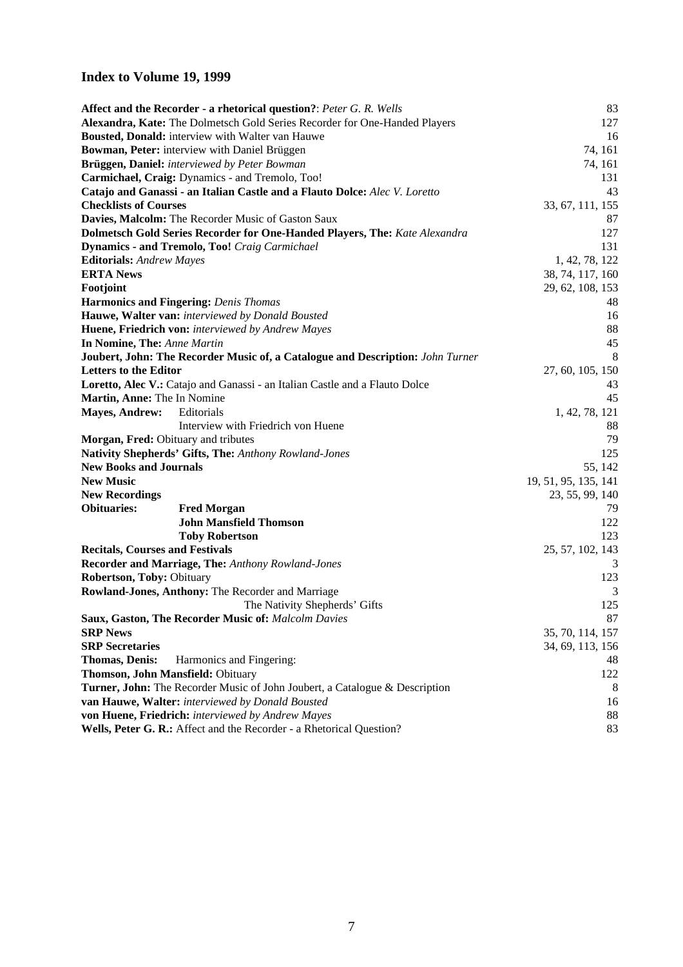## **Index to Volume 19, 1999**

|                                        | <b>Affect and the Recorder - a rhetorical question?: Peter G. R. Wells</b>     | 83                   |
|----------------------------------------|--------------------------------------------------------------------------------|----------------------|
|                                        | Alexandra, Kate: The Dolmetsch Gold Series Recorder for One-Handed Players     | 127                  |
|                                        | Bousted, Donald: interview with Walter van Hauwe                               | 16                   |
|                                        | Bowman, Peter: interview with Daniel Brüggen                                   | 74, 161              |
|                                        | Brüggen, Daniel: interviewed by Peter Bowman                                   | 74, 161              |
|                                        | Carmichael, Craig: Dynamics - and Tremolo, Too!                                | 131                  |
|                                        | Catajo and Ganassi - an Italian Castle and a Flauto Dolce: Alec V. Loretto     | 43                   |
| <b>Checklists of Courses</b>           |                                                                                | 33, 67, 111, 155     |
|                                        | Davies, Malcolm: The Recorder Music of Gaston Saux                             | 87                   |
|                                        | Dolmetsch Gold Series Recorder for One-Handed Players, The: Kate Alexandra     | 127                  |
|                                        | <b>Dynamics - and Tremolo, Too!</b> Craig Carmichael                           | 131                  |
| <b>Editorials:</b> Andrew Mayes        |                                                                                | 1, 42, 78, 122       |
| <b>ERTA News</b>                       |                                                                                | 38, 74, 117, 160     |
| Footjoint                              |                                                                                | 29, 62, 108, 153     |
|                                        | <b>Harmonics and Fingering: Denis Thomas</b>                                   | 48                   |
|                                        | Hauwe, Walter van: interviewed by Donald Bousted                               | 16                   |
|                                        | Huene, Friedrich von: interviewed by Andrew Mayes                              | 88                   |
| In Nomine, The: Anne Martin            |                                                                                | 45                   |
|                                        | Joubert, John: The Recorder Music of, a Catalogue and Description: John Turner | 8                    |
| <b>Letters to the Editor</b>           |                                                                                | 27, 60, 105, 150     |
|                                        | Loretto, Alec V.: Catajo and Ganassi - an Italian Castle and a Flauto Dolce    | 43                   |
| Martin, Anne: The In Nomine            |                                                                                | 45                   |
| <b>Mayes, Andrew:</b>                  | Editorials                                                                     | 1, 42, 78, 121       |
|                                        | Interview with Friedrich von Huene                                             | 88                   |
| Morgan, Fred: Obituary and tributes    |                                                                                | 79                   |
|                                        | Nativity Shepherds' Gifts, The: Anthony Rowland-Jones                          | 125                  |
| <b>New Books and Journals</b>          |                                                                                | 55, 142              |
| <b>New Music</b>                       |                                                                                | 19, 51, 95, 135, 141 |
| <b>New Recordings</b>                  |                                                                                | 23, 55, 99, 140      |
| <b>Obituaries:</b>                     | <b>Fred Morgan</b>                                                             | 79                   |
|                                        | <b>John Mansfield Thomson</b>                                                  | 122                  |
|                                        | <b>Toby Robertson</b>                                                          | 123                  |
| <b>Recitals, Courses and Festivals</b> |                                                                                | 25, 57, 102, 143     |
|                                        | Recorder and Marriage, The: Anthony Rowland-Jones                              | 3                    |
| Robertson, Toby: Obituary              |                                                                                | 123                  |
|                                        | Rowland-Jones, Anthony: The Recorder and Marriage                              | 3                    |
|                                        | The Nativity Shepherds' Gifts                                                  | 125                  |
|                                        | <b>Saux, Gaston, The Recorder Music of: Malcolm Davies</b>                     | 87                   |
| <b>SRP News</b>                        |                                                                                | 35, 70, 114, 157     |
| <b>SRP</b> Secretaries                 |                                                                                | 34, 69, 113, 156     |
| <b>Thomas, Denis:</b>                  | Harmonics and Fingering:                                                       | 48                   |
|                                        | Thomson, John Mansfield: Obituary                                              | 122                  |
|                                        | Turner, John: The Recorder Music of John Joubert, a Catalogue & Description    | 8                    |
|                                        | van Hauwe, Walter: interviewed by Donald Bousted                               | 16                   |
|                                        | von Huene, Friedrich: interviewed by Andrew Mayes                              | 88                   |
|                                        | Wells, Peter G. R.: Affect and the Recorder - a Rhetorical Question?           | 83                   |
|                                        |                                                                                |                      |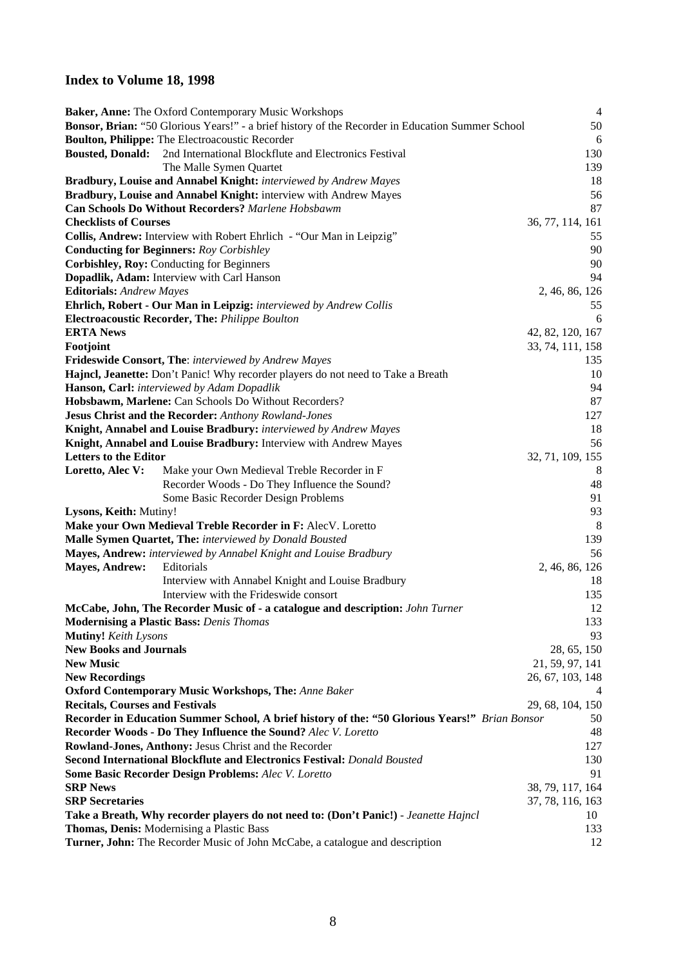#### **Index to Volume 18, 1998**

|                                                        | Baker, Anne: The Oxford Contemporary Music Workshops                                             | $\overline{4}$   |
|--------------------------------------------------------|--------------------------------------------------------------------------------------------------|------------------|
|                                                        | Bonsor, Brian: "50 Glorious Years!" - a brief history of the Recorder in Education Summer School | 50               |
| Boulton, Philippe: The Electroacoustic Recorder        |                                                                                                  | 6                |
| <b>Bousted, Donald:</b>                                | 2nd International Blockflute and Electronics Festival                                            | 130              |
|                                                        | The Malle Symen Quartet                                                                          | 139              |
|                                                        | Bradbury, Louise and Annabel Knight: interviewed by Andrew Mayes                                 | 18               |
|                                                        | Bradbury, Louise and Annabel Knight: interview with Andrew Mayes                                 | 56               |
|                                                        | <b>Can Schools Do Without Recorders?</b> Marlene Hobsbawm                                        | 87               |
| <b>Checklists of Courses</b>                           |                                                                                                  | 36, 77, 114, 161 |
|                                                        | Collis, Andrew: Interview with Robert Ehrlich - "Our Man in Leipzig"                             | 55               |
| <b>Conducting for Beginners: Roy Corbishley</b>        |                                                                                                  | 90               |
| Corbishley, Roy: Conducting for Beginners              |                                                                                                  | 90               |
| Dopadlik, Adam: Interview with Carl Hanson             |                                                                                                  | 94               |
| <b>Editorials:</b> Andrew Mayes                        |                                                                                                  | 2, 46, 86, 126   |
|                                                        | Ehrlich, Robert - Our Man in Leipzig: interviewed by Andrew Collis                               | 55               |
| <b>Electroacoustic Recorder, The: Philippe Boulton</b> |                                                                                                  | 6                |
| <b>ERTA News</b>                                       |                                                                                                  | 42, 82, 120, 167 |
| Footjoint                                              |                                                                                                  | 33, 74, 111, 158 |
|                                                        | Frideswide Consort, The: interviewed by Andrew Mayes                                             | 135              |
|                                                        | Hajncl, Jeanette: Don't Panic! Why recorder players do not need to Take a Breath                 | 10               |
| Hanson, Carl: interviewed by Adam Dopadlik             |                                                                                                  | 94               |
|                                                        | Hobsbawm, Marlene: Can Schools Do Without Recorders?                                             | 87               |
|                                                        | Jesus Christ and the Recorder: Anthony Rowland-Jones                                             | 127              |
|                                                        | Knight, Annabel and Louise Bradbury: interviewed by Andrew Mayes                                 | 18               |
|                                                        | Knight, Annabel and Louise Bradbury: Interview with Andrew Mayes                                 | 56               |
| <b>Letters to the Editor</b>                           |                                                                                                  | 32, 71, 109, 155 |
| Loretto, Alec V:                                       | Make your Own Medieval Treble Recorder in F                                                      | 8                |
|                                                        | Recorder Woods - Do They Influence the Sound?                                                    | 48               |
|                                                        | Some Basic Recorder Design Problems                                                              | 91               |
| Lysons, Keith: Mutiny!                                 |                                                                                                  | 93               |
|                                                        | Make your Own Medieval Treble Recorder in F: AlecV. Loretto                                      | 8                |
|                                                        | Malle Symen Quartet, The: interviewed by Donald Bousted                                          | 139              |
|                                                        | Mayes, Andrew: interviewed by Annabel Knight and Louise Bradbury                                 | 56               |
| <b>Mayes, Andrew:</b><br>Editorials                    |                                                                                                  | 2, 46, 86, 126   |
|                                                        | Interview with Annabel Knight and Louise Bradbury                                                | 18               |
|                                                        | Interview with the Frideswide consort                                                            | 135              |
|                                                        | McCabe, John, The Recorder Music of - a catalogue and description: John Turner                   | 12               |
| <b>Modernising a Plastic Bass:</b> Denis Thomas        |                                                                                                  | 133              |
| <b>Mutiny!</b> Keith Lysons                            |                                                                                                  | 93               |
| <b>New Books and Journals</b>                          |                                                                                                  | 28, 65, 150      |
| <b>New Music</b>                                       |                                                                                                  | 21, 59, 97, 141  |
| <b>New Recordings</b>                                  |                                                                                                  | 26, 67, 103, 148 |
|                                                        | <b>Oxford Contemporary Music Workshops, The: Anne Baker</b>                                      | 4                |
| <b>Recitals, Courses and Festivals</b>                 |                                                                                                  | 29, 68, 104, 150 |
|                                                        | Recorder in Education Summer School, A brief history of the: "50 Glorious Years!" Brian Bonsor   | 50               |
|                                                        | Recorder Woods - Do They Influence the Sound? Alec V. Loretto                                    | 48               |
|                                                        | <b>Rowland-Jones, Anthony: Jesus Christ and the Recorder</b>                                     | 127              |
|                                                        | <b>Second International Blockflute and Electronics Festival: Donald Bousted</b>                  | 130              |
|                                                        | <b>Some Basic Recorder Design Problems: Alec V. Loretto</b>                                      | 91               |
| <b>SRP News</b>                                        |                                                                                                  | 38, 79, 117, 164 |
| <b>SRP</b> Secretaries                                 |                                                                                                  | 37, 78, 116, 163 |
|                                                        | Take a Breath, Why recorder players do not need to: (Don't Panic!) - Jeanette Hajncl             | 10               |
| Thomas, Denis: Modernising a Plastic Bass              |                                                                                                  | 133              |
|                                                        | Turner, John: The Recorder Music of John McCabe, a catalogue and description                     | 12               |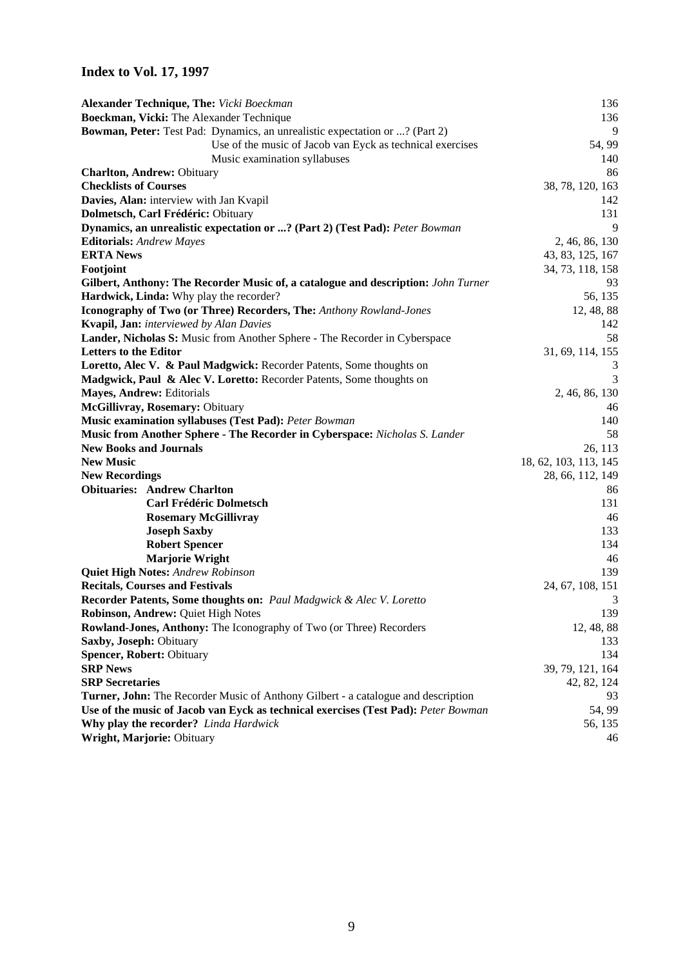## **Index to Vol. 17, 1997**

| Alexander Technique, The: Vicki Boeckman                                                 | 136                   |
|------------------------------------------------------------------------------------------|-----------------------|
| Boeckman, Vicki: The Alexander Technique                                                 | 136                   |
| Bowman, Peter: Test Pad: Dynamics, an unrealistic expectation or ? (Part 2)              | 9                     |
| Use of the music of Jacob van Eyck as technical exercises                                | 54, 99                |
| Music examination syllabuses                                                             | 140                   |
| <b>Charlton, Andrew: Obituary</b>                                                        | 86                    |
| <b>Checklists of Courses</b>                                                             | 38, 78, 120, 163      |
| Davies, Alan: interview with Jan Kvapil                                                  | 142                   |
| Dolmetsch, Carl Frédéric: Obituary                                                       | 131                   |
| Dynamics, an unrealistic expectation or ? (Part 2) (Test Pad): Peter Bowman              | 9                     |
| <b>Editorials:</b> Andrew Mayes                                                          | 2, 46, 86, 130        |
| <b>ERTA News</b>                                                                         | 43, 83, 125, 167      |
| Footjoint                                                                                | 34, 73, 118, 158      |
| Gilbert, Anthony: The Recorder Music of, a catalogue and description: John Turner        | 93                    |
| Hardwick, Linda: Why play the recorder?                                                  | 56, 135               |
| Iconography of Two (or Three) Recorders, The: Anthony Rowland-Jones                      | 12, 48, 88            |
| <b>Kvapil, Jan:</b> interviewed by Alan Davies                                           | 142                   |
| Lander, Nicholas S: Music from Another Sphere - The Recorder in Cyberspace               | 58                    |
| <b>Letters to the Editor</b>                                                             | 31, 69, 114, 155      |
| Loretto, Alec V. & Paul Madgwick: Recorder Patents, Some thoughts on                     |                       |
| Madgwick, Paul & Alec V. Loretto: Recorder Patents, Some thoughts on                     | $\overline{3}$        |
| Mayes, Andrew: Editorials                                                                | 2, 46, 86, 130        |
| McGillivray, Rosemary: Obituary                                                          | 46                    |
| <b>Music examination syllabuses (Test Pad):</b> Peter Bowman                             | 140                   |
| Music from Another Sphere - The Recorder in Cyberspace: Nicholas S. Lander               | 58                    |
| <b>New Books and Journals</b>                                                            | 26, 113               |
| <b>New Music</b>                                                                         | 18, 62, 103, 113, 145 |
| <b>New Recordings</b><br><b>Obituaries: Andrew Charlton</b>                              | 28, 66, 112, 149      |
| <b>Carl Frédéric Dolmetsch</b>                                                           | 86<br>131             |
|                                                                                          | 46                    |
| <b>Rosemary McGillivray</b>                                                              | 133                   |
| <b>Joseph Saxby</b><br><b>Robert Spencer</b>                                             | 134                   |
| <b>Marjorie Wright</b>                                                                   | 46                    |
| <b>Quiet High Notes: Andrew Robinson</b>                                                 | 139                   |
| <b>Recitals, Courses and Festivals</b>                                                   | 24, 67, 108, 151      |
| Recorder Patents, Some thoughts on: Paul Madgwick & Alec V. Loretto                      | 3                     |
| <b>Robinson, Andrew: Quiet High Notes</b>                                                | 139                   |
| Rowland-Jones, Anthony: The Iconography of Two (or Three) Recorders                      | 12, 48, 88            |
| Saxby, Joseph: Obituary                                                                  | 133                   |
| <b>Spencer, Robert: Obituary</b>                                                         | 134                   |
| <b>SRP News</b>                                                                          | 39, 79, 121, 164      |
| <b>SRP</b> Secretaries                                                                   | 42, 82, 124           |
| <b>Turner, John:</b> The Recorder Music of Anthony Gilbert - a catalogue and description | 93                    |
| Use of the music of Jacob van Eyck as technical exercises (Test Pad): Peter Bowman       | 54, 99                |
| Why play the recorder? Linda Hardwick                                                    | 56, 135               |
| Wright, Marjorie: Obituary                                                               | 46                    |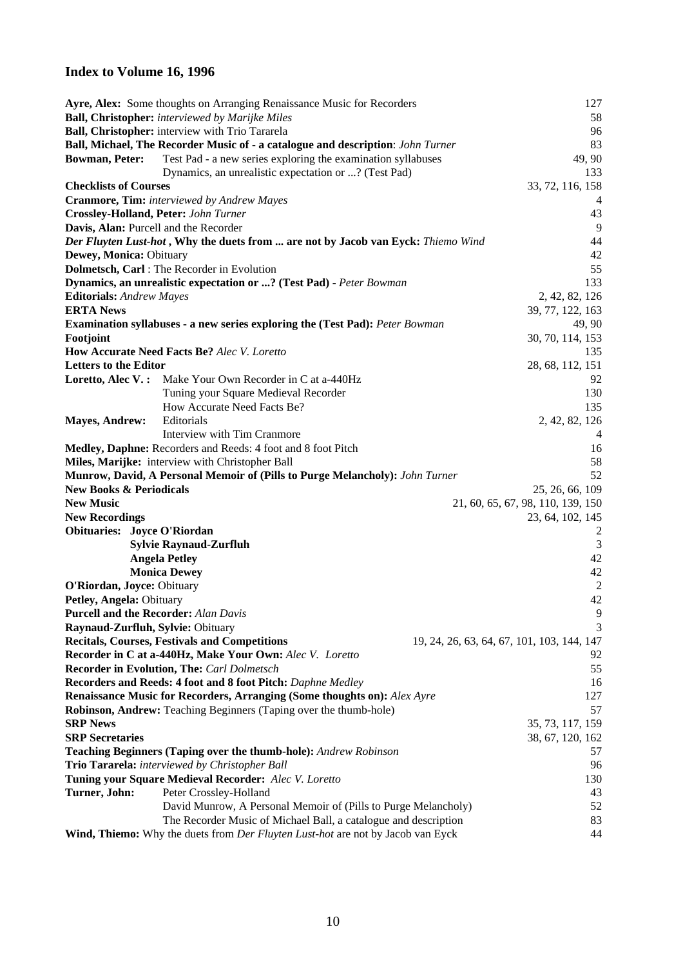#### **Index to Volume 16, 1996**

|                                             | Ayre, Alex: Some thoughts on Arranging Renaissance Music for Recorders                        | 127                                        |
|---------------------------------------------|-----------------------------------------------------------------------------------------------|--------------------------------------------|
|                                             | <b>Ball, Christopher:</b> interviewed by Marijke Miles                                        | 58                                         |
|                                             | Ball, Christopher: interview with Trio Tararela                                               | 96                                         |
|                                             | Ball, Michael, The Recorder Music of - a catalogue and description: John Turner               | 83                                         |
| <b>Bowman, Peter:</b>                       | Test Pad - a new series exploring the examination syllabuses                                  | 49, 90                                     |
|                                             | Dynamics, an unrealistic expectation or ? (Test Pad)                                          | 133                                        |
| <b>Checklists of Courses</b>                |                                                                                               | 33, 72, 116, 158                           |
|                                             | Cranmore, Tim: interviewed by Andrew Mayes                                                    |                                            |
| <b>Crossley-Holland, Peter: John Turner</b> |                                                                                               | 43                                         |
| Davis, Alan: Purcell and the Recorder       |                                                                                               | 9                                          |
|                                             | Der Fluyten Lust-hot, Why the duets from  are not by Jacob van Eyck: Thiemo Wind              | 44                                         |
| Dewey, Monica: Obituary                     |                                                                                               | 42                                         |
|                                             | Dolmetsch, Carl : The Recorder in Evolution                                                   | 55                                         |
|                                             | Dynamics, an unrealistic expectation or ? (Test Pad) - Peter Bowman                           | 133                                        |
| <b>Editorials:</b> Andrew Mayes             |                                                                                               | 2, 42, 82, 126                             |
| <b>ERTA News</b>                            |                                                                                               | 39, 77, 122, 163                           |
|                                             | <b>Examination syllabuses - a new series exploring the (Test Pad):</b> Peter Bowman           | 49, 90                                     |
| Footjoint                                   |                                                                                               | 30, 70, 114, 153                           |
|                                             | How Accurate Need Facts Be? Alec V. Loretto                                                   | 135                                        |
| <b>Letters to the Editor</b>                |                                                                                               | 28, 68, 112, 151                           |
| Loretto, Alec V.:                           | Make Your Own Recorder in C at a-440Hz                                                        | 92                                         |
|                                             | Tuning your Square Medieval Recorder                                                          | 130                                        |
|                                             | How Accurate Need Facts Be?                                                                   | 135                                        |
| <b>Mayes, Andrew:</b>                       | Editorials                                                                                    | 2, 42, 82, 126                             |
|                                             | Interview with Tim Cranmore                                                                   | 4                                          |
|                                             | Medley, Daphne: Recorders and Reeds: 4 foot and 8 foot Pitch                                  | 16                                         |
|                                             | Miles, Marijke: interview with Christopher Ball                                               | 58                                         |
|                                             | <b>Munrow, David, A Personal Memoir of (Pills to Purge Melancholy):</b> John Turner           | 52                                         |
| <b>New Books &amp; Periodicals</b>          |                                                                                               | 25, 26, 66, 109                            |
| <b>New Music</b>                            |                                                                                               | 21, 60, 65, 67, 98, 110, 139, 150          |
| <b>New Recordings</b>                       |                                                                                               | 23, 64, 102, 145                           |
| <b>Obituaries: Joyce O'Riordan</b>          |                                                                                               | 2                                          |
|                                             | <b>Sylvie Raynaud-Zurfluh</b>                                                                 | 3                                          |
|                                             | <b>Angela Petley</b>                                                                          | 42                                         |
|                                             | <b>Monica Dewey</b>                                                                           | 42                                         |
| O'Riordan, Joyce: Obituary                  |                                                                                               | $\overline{2}$                             |
| Petley, Angela: Obituary                    |                                                                                               | 42                                         |
| <b>Purcell and the Recorder:</b> Alan Davis |                                                                                               | 9                                          |
| Raynaud-Zurfluh, Sylvie: Obituary           |                                                                                               | 3                                          |
|                                             | <b>Recitals, Courses, Festivals and Competitions</b>                                          | 19, 24, 26, 63, 64, 67, 101, 103, 144, 147 |
|                                             | Recorder in C at a-440Hz, Make Your Own: Alec V. Loretto                                      | 92                                         |
|                                             | <b>Recorder in Evolution, The: Carl Dolmetsch</b>                                             | 55                                         |
|                                             | Recorders and Reeds: 4 foot and 8 foot Pitch: Daphne Medley                                   | 16                                         |
|                                             | Renaissance Music for Recorders, Arranging (Some thoughts on): Alex Ayre                      | 127                                        |
|                                             | Robinson, Andrew: Teaching Beginners (Taping over the thumb-hole)                             | 57                                         |
| <b>SRP News</b>                             |                                                                                               | 35, 73, 117, 159                           |
| <b>SRP</b> Secretaries                      |                                                                                               | 38, 67, 120, 162                           |
|                                             | Teaching Beginners (Taping over the thumb-hole): Andrew Robinson                              | 57                                         |
|                                             | Trio Tararela: interviewed by Christopher Ball                                                | 96                                         |
|                                             | Tuning your Square Medieval Recorder: Alec V. Loretto                                         | 130                                        |
| Turner, John:                               | Peter Crossley-Holland                                                                        | 43                                         |
|                                             | David Munrow, A Personal Memoir of (Pills to Purge Melancholy)                                | 52                                         |
|                                             | The Recorder Music of Michael Ball, a catalogue and description                               | 83                                         |
|                                             | <b>Wind, Thiemo:</b> Why the duets from <i>Der Fluyten Lust-hot</i> are not by Jacob van Eyck | 44                                         |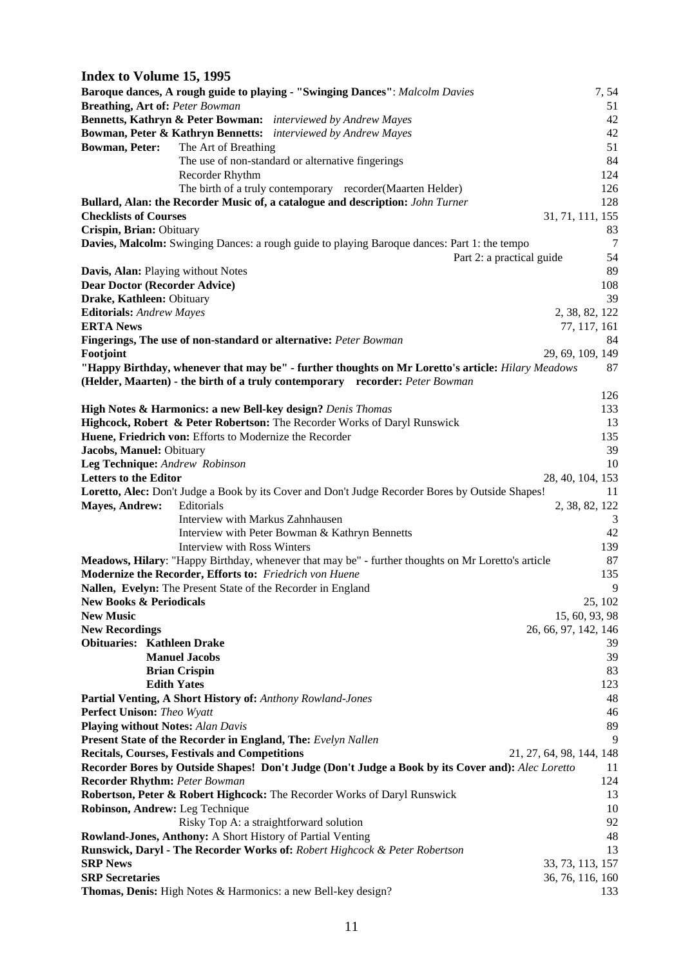| Index to Volume 15, 1995                                     |                                                                                                    |                                 |
|--------------------------------------------------------------|----------------------------------------------------------------------------------------------------|---------------------------------|
|                                                              | Baroque dances, A rough guide to playing - "Swinging Dances": Malcolm Davies                       | 7,54                            |
| <b>Breathing, Art of: Peter Bowman</b>                       |                                                                                                    | 51                              |
|                                                              | <b>Bennetts, Kathryn &amp; Peter Bowman:</b> interviewed by Andrew Mayes                           | 42                              |
|                                                              | Bowman, Peter & Kathryn Bennetts: interviewed by Andrew Mayes                                      | 42                              |
| <b>Bowman, Peter:</b>                                        | The Art of Breathing                                                                               | 51                              |
|                                                              | The use of non-standard or alternative fingerings                                                  | 84                              |
|                                                              | Recorder Rhythm                                                                                    | 124                             |
|                                                              | The birth of a truly contemporary recorder(Maarten Helder)                                         | 126                             |
|                                                              | Bullard, Alan: the Recorder Music of, a catalogue and description: John Turner                     | 128                             |
| <b>Checklists of Courses</b>                                 |                                                                                                    | 31, 71, 111, 155                |
| Crispin, Brian: Obituary                                     |                                                                                                    | 83                              |
|                                                              | Davies, Malcolm: Swinging Dances: a rough guide to playing Baroque dances: Part 1: the tempo       | $\overline{7}$                  |
|                                                              |                                                                                                    | 54<br>Part 2: a practical guide |
| Davis, Alan: Playing without Notes                           |                                                                                                    | 89                              |
| <b>Dear Doctor (Recorder Advice)</b>                         |                                                                                                    | 108<br>39                       |
| Drake, Kathleen: Obituary<br><b>Editorials:</b> Andrew Mayes |                                                                                                    |                                 |
| <b>ERTA News</b>                                             |                                                                                                    | 2, 38, 82, 122                  |
|                                                              | Fingerings, The use of non-standard or alternative: Peter Bowman                                   | 77, 117, 161<br>84              |
| Footjoint                                                    |                                                                                                    | 29, 69, 109, 149                |
|                                                              | "Happy Birthday, whenever that may be" - further thoughts on Mr Loretto's article: Hilary Meadows  | 87                              |
|                                                              | (Helder, Maarten) - the birth of a truly contemporary recorder: Peter Bowman                       |                                 |
|                                                              |                                                                                                    | 126                             |
|                                                              | High Notes & Harmonics: a new Bell-key design? Denis Thomas                                        | 133                             |
|                                                              | Highcock, Robert & Peter Robertson: The Recorder Works of Daryl Runswick                           | 13                              |
|                                                              | Huene, Friedrich von: Efforts to Modernize the Recorder                                            | 135                             |
| Jacobs, Manuel: Obituary                                     |                                                                                                    | 39                              |
| Leg Technique: Andrew Robinson                               |                                                                                                    | 10                              |
| <b>Letters to the Editor</b>                                 |                                                                                                    | 28, 40, 104, 153                |
|                                                              | Loretto, Alec: Don't Judge a Book by its Cover and Don't Judge Recorder Bores by Outside Shapes!   | 11                              |
| <b>Mayes, Andrew:</b>                                        | Editorials                                                                                         | 2, 38, 82, 122                  |
|                                                              | Interview with Markus Zahnhausen                                                                   | 3                               |
|                                                              | Interview with Peter Bowman & Kathryn Bennetts                                                     | 42                              |
|                                                              | <b>Interview with Ross Winters</b>                                                                 | 139                             |
|                                                              | Meadows, Hilary: "Happy Birthday, whenever that may be" - further thoughts on Mr Loretto's article | 87                              |
|                                                              | Modernize the Recorder, Efforts to: Friedrich von Huene                                            | 135                             |
|                                                              | Nallen, Evelyn: The Present State of the Recorder in England                                       | 9                               |
| <b>New Books &amp; Periodicals</b>                           |                                                                                                    | 25, 102                         |
| <b>New Music</b>                                             |                                                                                                    | 15, 60, 93, 98                  |
| <b>New Recordings</b>                                        |                                                                                                    | 26, 66, 97, 142, 146            |
| <b>Obituaries: Kathleen Drake</b>                            |                                                                                                    | 39                              |
|                                                              | <b>Manuel Jacobs</b>                                                                               | 39                              |
|                                                              | <b>Brian Crispin</b>                                                                               | 83                              |
| <b>Edith Yates</b>                                           |                                                                                                    | 123                             |
|                                                              | Partial Venting, A Short History of: Anthony Rowland-Jones                                         | 48                              |
| Perfect Unison: Theo Wyatt                                   |                                                                                                    | 46                              |
| <b>Playing without Notes: Alan Davis</b>                     |                                                                                                    | 89                              |
|                                                              | <b>Present State of the Recorder in England, The:</b> Evelyn Nallen                                | 9                               |
|                                                              | <b>Recitals, Courses, Festivals and Competitions</b>                                               | 21, 27, 64, 98, 144, 148        |
|                                                              | Recorder Bores by Outside Shapes! Don't Judge (Don't Judge a Book by its Cover and): Alec Loretto  | 11                              |
| <b>Recorder Rhythm: Peter Bowman</b>                         |                                                                                                    | 124                             |
|                                                              | Robertson, Peter & Robert Highcock: The Recorder Works of Daryl Runswick                           | 13                              |
| Robinson, Andrew: Leg Technique                              |                                                                                                    | 10                              |
|                                                              | Risky Top A: a straightforward solution                                                            | 92                              |
|                                                              | Rowland-Jones, Anthony: A Short History of Partial Venting                                         | 48                              |
|                                                              | Runswick, Daryl - The Recorder Works of: Robert Highcock & Peter Robertson                         | 13                              |
| <b>SRP News</b>                                              |                                                                                                    | 33, 73, 113, 157                |
| <b>SRP</b> Secretaries                                       |                                                                                                    | 36, 76, 116, 160                |
|                                                              | Thomas, Denis: High Notes & Harmonics: a new Bell-key design?                                      | 133                             |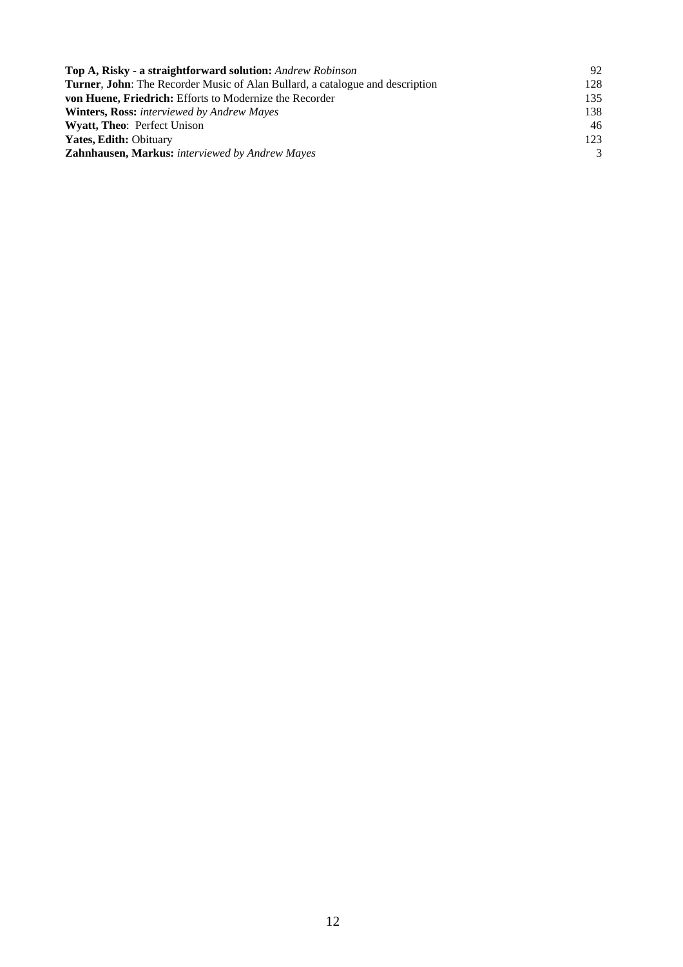| Top A, Risky - a straightforward solution: Andrew Robinson                           | 92  |
|--------------------------------------------------------------------------------------|-----|
| <b>Turner, John:</b> The Recorder Music of Alan Bullard, a catalogue and description | 128 |
| von Huene, Friedrich: Efforts to Modernize the Recorder                              | 135 |
| <b>Winters, Ross:</b> interviewed by Andrew Mayes                                    | 138 |
| <b>Wyatt, Theo: Perfect Unison</b>                                                   | 46  |
| <b>Yates, Edith: Obituary</b>                                                        | 123 |
| <b>Zahnhausen, Markus:</b> interviewed by Andrew Mayes                               | 3   |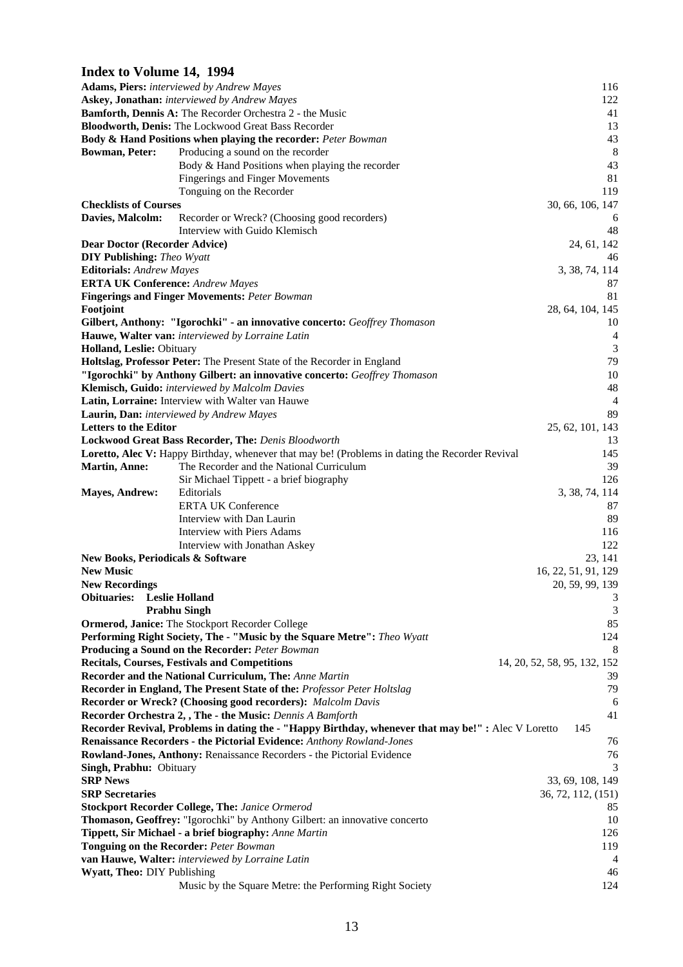#### **Index to Volume 14, 1994**

|                                              | <b>Adams, Piers:</b> interviewed by Andrew Mayes                                                    | 116                          |
|----------------------------------------------|-----------------------------------------------------------------------------------------------------|------------------------------|
|                                              | Askey, Jonathan: interviewed by Andrew Mayes                                                        | 122                          |
|                                              | Bamforth, Dennis A: The Recorder Orchestra 2 - the Music                                            | 41                           |
|                                              | Bloodworth, Denis: The Lockwood Great Bass Recorder                                                 | 13                           |
|                                              | <b>Body &amp; Hand Positions when playing the recorder: Peter Bowman</b>                            | 43                           |
| <b>Bowman, Peter:</b>                        | Producing a sound on the recorder                                                                   | 8                            |
|                                              | Body & Hand Positions when playing the recorder                                                     | 43                           |
|                                              | <b>Fingerings and Finger Movements</b>                                                              | 81                           |
|                                              | Tonguing on the Recorder                                                                            | 119                          |
| <b>Checklists of Courses</b>                 |                                                                                                     | 30, 66, 106, 147             |
| Davies, Malcolm:                             | Recorder or Wreck? (Choosing good recorders)                                                        | 6                            |
|                                              | Interview with Guido Klemisch                                                                       | 48                           |
| <b>Dear Doctor (Recorder Advice)</b>         |                                                                                                     | 24, 61, 142                  |
| <b>DIY Publishing:</b> Theo Wyatt            |                                                                                                     | 46                           |
| <b>Editorials:</b> Andrew Mayes              |                                                                                                     | 3, 38, 74, 114               |
| <b>ERTA UK Conference:</b> Andrew Mayes      |                                                                                                     | 87                           |
|                                              | <b>Fingerings and Finger Movements: Peter Bowman</b>                                                | 81                           |
| Footjoint                                    |                                                                                                     | 28, 64, 104, 145             |
|                                              | Gilbert, Anthony: "Igorochki" - an innovative concerto: Geoffrey Thomason                           | 10                           |
|                                              | Hauwe, Walter van: interviewed by Lorraine Latin                                                    | $\overline{4}$               |
| <b>Holland, Leslie: Obituary</b>             |                                                                                                     | 3                            |
|                                              | Holtslag, Professor Peter: The Present State of the Recorder in England                             | 79                           |
|                                              | "Igorochki" by Anthony Gilbert: an innovative concerto: Geoffrey Thomason                           | 10                           |
|                                              | Klemisch, Guido: interviewed by Malcolm Davies                                                      | 48                           |
|                                              | Latin, Lorraine: Interview with Walter van Hauwe                                                    | $\overline{4}$               |
|                                              | Laurin, Dan: interviewed by Andrew Mayes                                                            | 89                           |
| <b>Letters to the Editor</b>                 |                                                                                                     | 25, 62, 101, 143             |
|                                              | Lockwood Great Bass Recorder, The: Denis Bloodworth                                                 | 13                           |
|                                              | Loretto, Alec V: Happy Birthday, whenever that may be! (Problems in dating the Recorder Revival     | 145                          |
| <b>Martin, Anne:</b>                         | The Recorder and the National Curriculum                                                            | 39                           |
|                                              | Sir Michael Tippett - a brief biography                                                             | 126                          |
| <b>Mayes, Andrew:</b>                        | Editorials                                                                                          | 3, 38, 74, 114               |
|                                              | <b>ERTA UK Conference</b>                                                                           | 87                           |
|                                              | Interview with Dan Laurin                                                                           | 89                           |
|                                              | Interview with Piers Adams                                                                          | 116                          |
|                                              | Interview with Jonathan Askey                                                                       | 122                          |
| <b>New Books, Periodicals &amp; Software</b> |                                                                                                     | 23, 141                      |
| <b>New Music</b>                             |                                                                                                     | 16, 22, 51, 91, 129          |
| <b>New Recordings</b>                        |                                                                                                     | 20, 59, 99, 139              |
| <b>Obituaries:</b>                           | <b>Leslie Holland</b>                                                                               | 3                            |
|                                              | <b>Prabhu Singh</b>                                                                                 | 3                            |
|                                              | Ormerod, Janice: The Stockport Recorder College                                                     | 85                           |
|                                              | Performing Right Society, The - "Music by the Square Metre": Theo Wyatt                             | 124                          |
|                                              | Producing a Sound on the Recorder: Peter Bowman                                                     | 8                            |
|                                              | <b>Recitals, Courses, Festivals and Competitions</b>                                                | 14, 20, 52, 58, 95, 132, 152 |
|                                              | Recorder and the National Curriculum, The: Anne Martin                                              | 39                           |
|                                              | Recorder in England, The Present State of the: Professor Peter Holtslag                             | 79                           |
|                                              | Recorder or Wreck? (Choosing good recorders): Malcolm Davis                                         | 6                            |
|                                              | Recorder Orchestra 2, , The - the Music: Dennis A Bamforth                                          | 41                           |
|                                              | Recorder Revival, Problems in dating the - "Happy Birthday, whenever that may be!" : Alec V Loretto | 145                          |
|                                              | Renaissance Recorders - the Pictorial Evidence: Anthony Rowland-Jones                               | 76                           |
|                                              | Rowland-Jones, Anthony: Renaissance Recorders - the Pictorial Evidence                              | 76                           |
| Singh, Prabhu: Obituary                      |                                                                                                     | 3                            |
| <b>SRP News</b>                              |                                                                                                     | 33, 69, 108, 149             |
| <b>SRP</b> Secretaries                       |                                                                                                     | 36, 72, 112, (151)           |
|                                              | <b>Stockport Recorder College, The: Janice Ormerod</b>                                              | 85                           |
|                                              | Thomason, Geoffrey: "Igorochki" by Anthony Gilbert: an innovative concerto                          | 10                           |
|                                              | Tippett, Sir Michael - a brief biography: Anne Martin                                               | 126                          |
|                                              | <b>Tonguing on the Recorder: Peter Bowman</b>                                                       | 119                          |
|                                              | van Hauwe, Walter: interviewed by Lorraine Latin                                                    | 4                            |
| Wyatt, Theo: DIY Publishing                  |                                                                                                     | 46                           |
|                                              | Music by the Square Metre: the Performing Right Society                                             | 124                          |